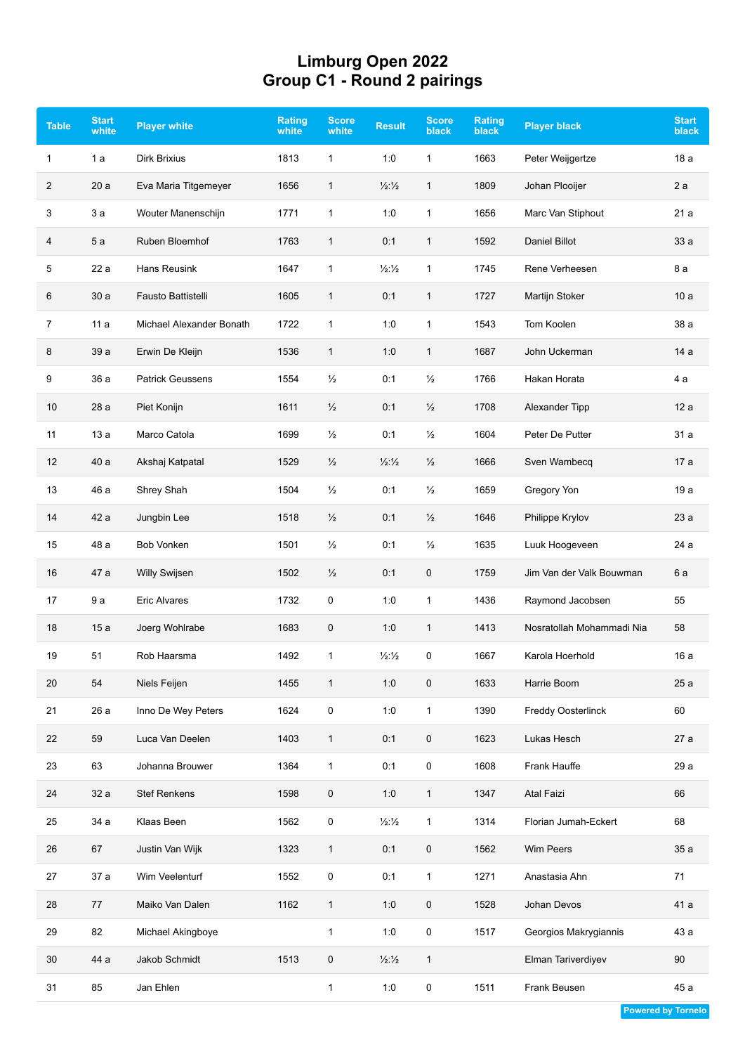## **Limburg Open 2022 Group C1 - Round 2 pairings**

| <b>Table</b>   | <b>Start</b><br>white | <b>Player white</b>      | Rating<br>white | <b>Score</b><br>white | <b>Result</b>                 | <b>Score</b><br><b>black</b> | Rating<br><b>black</b> | <b>Player black</b>       | <b>Start</b><br>black |
|----------------|-----------------------|--------------------------|-----------------|-----------------------|-------------------------------|------------------------------|------------------------|---------------------------|-----------------------|
| 1              | 1a                    | Dirk Brixius             | 1813            | $\mathbf{1}$          | 1:0                           | $\mathbf{1}$                 | 1663                   | Peter Weijgertze          | 18 a                  |
| $\overline{2}$ | 20a                   | Eva Maria Titgemeyer     | 1656            | 1                     | 1/2:1/2                       | $\mathbf{1}$                 | 1809                   | Johan Plooijer            | 2a                    |
| 3              | 3а                    | Wouter Manenschijn       | 1771            | 1                     | 1:0                           | 1                            | 1656                   | Marc Van Stiphout         | 21a                   |
| 4              | 5 a                   | Ruben Bloemhof           | 1763            | 1                     | 0:1                           | $\mathbf{1}$                 | 1592                   | <b>Daniel Billot</b>      | 33a                   |
| 5              | 22 a                  | <b>Hans Reusink</b>      | 1647            | 1                     | 1/2:1/2                       | 1                            | 1745                   | Rene Verheesen            | 8 a                   |
| 6              | 30a                   | Fausto Battistelli       | 1605            | $\mathbf{1}$          | 0:1                           | $\mathbf{1}$                 | 1727                   | Martijn Stoker            | 10a                   |
| 7              | 11a                   | Michael Alexander Bonath | 1722            | 1                     | 1:0                           | 1                            | 1543                   | Tom Koolen                | 38 a                  |
| 8              | 39 a                  | Erwin De Kleijn          | 1536            | 1                     | 1:0                           | $\mathbf{1}$                 | 1687                   | John Uckerman             | 14 a                  |
| 9              | 36 a                  | <b>Patrick Geussens</b>  | 1554            | $\frac{1}{2}$         | 0:1                           | $\frac{1}{2}$                | 1766                   | Hakan Horata              | 4 a                   |
| 10             | 28 a                  | Piet Konijn              | 1611            | $\frac{1}{2}$         | 0:1                           | $\frac{1}{2}$                | 1708                   | Alexander Tipp            | 12a                   |
| 11             | 13a                   | Marco Catola             | 1699            | $\frac{1}{2}$         | 0:1                           | $\frac{1}{2}$                | 1604                   | Peter De Putter           | 31 a                  |
| 12             | 40 a                  | Akshaj Katpatal          | 1529            | $\frac{1}{2}$         | $\frac{1}{2}$ : $\frac{1}{2}$ | $\frac{1}{2}$                | 1666                   | Sven Wambecq              | 17 a                  |
| 13             | 46 a                  | Shrey Shah               | 1504            | $\frac{1}{2}$         | 0:1                           | $\frac{1}{2}$                | 1659                   | Gregory Yon               | 19a                   |
| 14             | 42 a                  | Jungbin Lee              | 1518            | $\frac{1}{2}$         | 0:1                           | $\frac{1}{2}$                | 1646                   | Philippe Krylov           | 23a                   |
| 15             | 48 a                  | <b>Bob Vonken</b>        | 1501            | $\frac{1}{2}$         | 0:1                           | $\frac{1}{2}$                | 1635                   | Luuk Hoogeveen            | 24 a                  |
| 16             | 47 a                  | <b>Willy Swijsen</b>     | 1502            | $\frac{1}{2}$         | 0:1                           | 0                            | 1759                   | Jim Van der Valk Bouwman  | 6 a                   |
| 17             | 9 a                   | <b>Eric Alvares</b>      | 1732            | 0                     | 1:0                           | 1                            | 1436                   | Raymond Jacobsen          | 55                    |
| 18             | 15a                   | Joerg Wohlrabe           | 1683            | 0                     | 1:0                           | $\mathbf{1}$                 | 1413                   | Nosratollah Mohammadi Nia | 58                    |
| 19             | 51                    | Rob Haarsma              | 1492            | 1                     | $\frac{1}{2}\frac{1}{2}$      | 0                            | 1667                   | Karola Hoerhold           | 16 a                  |
| 20             | 54                    | Niels Feijen             | 1455            | $\mathbf{1}$          | 1:0                           | 0                            | 1633                   | Harrie Boom               | 25 a                  |
| 21             | 26 a                  | Inno De Wey Peters       | 1624            | $\mathsf 0$           | 1:0                           | $\mathbf{1}$                 | 1390                   | Freddy Oosterlinck        | 60                    |
| 22             | 59                    | Luca Van Deelen          | 1403            | $\mathbf{1}$          | 0:1                           | 0                            | 1623                   | Lukas Hesch               | 27a                   |
| 23             | 63                    | Johanna Brouwer          | 1364            | $\mathbf{1}$          | 0:1                           | 0                            | 1608                   | Frank Hauffe              | 29 a                  |
| 24             | 32 a                  | <b>Stef Renkens</b>      | 1598            | $\mathbf 0$           | 1:0                           | $\mathbf{1}$                 | 1347                   | Atal Faizi                | 66                    |
| 25             | 34 a                  | Klaas Been               | 1562            | 0                     | 1/2:1/2                       | $\mathbf{1}$                 | 1314                   | Florian Jumah-Eckert      | 68                    |
| 26             | 67                    | Justin Van Wijk          | 1323            | 1                     | 0:1                           | 0                            | 1562                   | Wim Peers                 | 35 a                  |
| 27             | 37 a                  | Wim Veelenturf           | 1552            | $\mathsf 0$           | 0:1                           | $\mathbf{1}$                 | 1271                   | Anastasia Ahn             | 71                    |
| 28             | 77                    | Maiko Van Dalen          | 1162            | $\mathbf{1}$          | 1:0                           | 0                            | 1528                   | Johan Devos               | 41 a                  |
| 29             | 82                    | Michael Akingboye        |                 | $\mathbf{1}$          | 1:0                           | $\pmb{0}$                    | 1517                   | Georgios Makrygiannis     | 43 a                  |
| 30             | 44 a                  | Jakob Schmidt            | 1513            | $\pmb{0}$             | $\frac{1}{2}\frac{1}{2}$      | $\mathbf{1}$                 |                        | Elman Tariverdiyev        | 90                    |
| 31             | 85                    | Jan Ehlen                |                 | $\mathbf{1}$          | 1:0                           | 0                            | 1511                   | Frank Beusen              | 45 a                  |